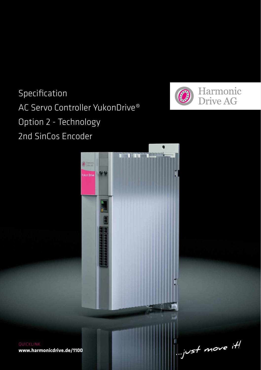# Specification AC Servo Controller YukonDrive® Option 2 - Technology 2nd SinCos Encoder





**www.harmonicdrive.de/1100**

 $\mathbb{L}$  yust move it!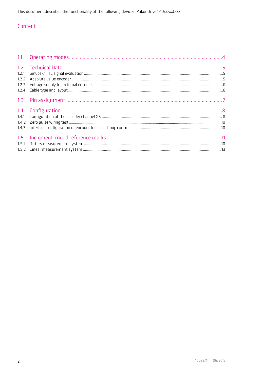# Content

| 1.2.1 |  |
|-------|--|
| 1.7.7 |  |
| 1.2.3 |  |
| 1.2.4 |  |
|       |  |
|       |  |
|       |  |
|       |  |
| 1.4.3 |  |
| 1.5   |  |
| 1.5.1 |  |
|       |  |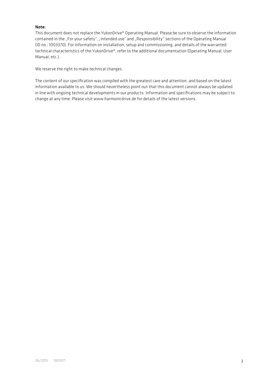### Note:

This document does not replace the YukonDrive® Operating Manual. Please be sure to observe the information contained in the "For your safety", "Intended use" and "Responsibility" sections of the Operating Manual (ID no.: 1003370). For information on installation, setup and commissioning, and details of the warranted technical characteristics of the YukonDrive®, refer to the additional documentation (Operating Manual, User Manual, etc.).

We reserve the right to make technical changes.

The content of our specification was compiled with the greatest care and attention, and based on the latest information available to us. We should nevertheless point out that this document cannot always be updated in line with ongoing technical developments in our products. Information and specifications may be subject to change at any time. Please visit www.harmonicdrive.de for details of the latest versions.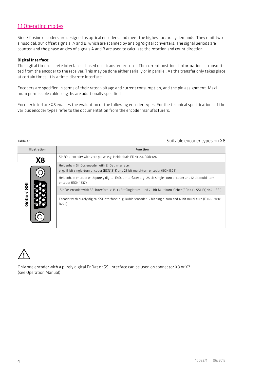# 1.1 Operating modes

Sine / Cosine encoders are designed as optical encoders, and meet the highest accuracy demands. They emit two sinusoidal, 90° offset signals, A and B, which are scanned by analog/digital converters. The signal periods are counted and the phase angles of signals A and B are used to calculate the rotation and count direction.

### Digital Interface:

The digital time-discrete interface is based on a transfer protocol. The current positional information is transmitted from the encoder to the receiver. This may be done either serially or in parallel. As the transfer only takes place at certain times, it is a time-discrete interface.

Encoders are specified in terms of their rated voltage and current consumption, and the pin assignment. Maximum permissible cable lengths are additionally specified.

Encoder interface X8 enables the evaluation of the following encoder types. For the technical specifications of the various encoder types refer to the documentation from the encoder manufacturers.

## Table 4.1 Suitable encoder types on X8

| <b>Illustration</b> |    | <b>Function</b>                                                                                                                       |
|---------------------|----|---------------------------------------------------------------------------------------------------------------------------------------|
|                     | Х8 | Sin/Cos-encoder with zero pulse: e.g. Heidenhain ERN1381, ROD486                                                                      |
| Geber/              |    | Heidenhain SinCos encoder with EnDat interface:<br>e. g. 13 bit single-turn encoder (ECN1313) and 25 bit multi-turn encoder (EQN1325) |
|                     |    | Heidenhain encoder with purely digital EnDat interface: e. g. 25 bit single-turn encoder and 12 bit multi-turn<br>encoder (EQN 1337)  |
|                     |    | SinCos encoder with SSI interface: z. B. 13 Bit Singleturn- und 25 Bit Multiturn-Geber (ECN413-SSI, EQN425-SSI)                       |
|                     |    | Encoder with purely digital SSI interface: e. g. Kübler encoder 12 bit single-turn and 12 bit multi-turn (F3663.xx1x.<br>B222)        |



Only one encoder with a purely digital EnDat or SSI interface can be used on connector X8 or X7 (see Operation Manual).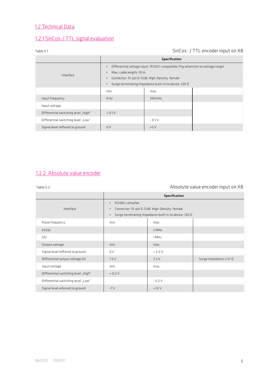# 1.2 Technical Data

# 1.2.1 SinCos-/ TTL signal evaluation

# Table 5.1 SinCos- / TTL encoder input on X8

|                                     | Specification                                                                 |         |  |  |
|-------------------------------------|-------------------------------------------------------------------------------|---------|--|--|
|                                     | Differential voltage input. RS422-compatible; Pay attention to voltage range! |         |  |  |
| Interface                           | Max. cable length: 10 m<br>$\bullet$                                          |         |  |  |
|                                     | Connector: 15-pin D-SUB. High-Density. female<br>$\bullet$                    |         |  |  |
|                                     | Surge terminating impedance built-in to device: 120 0<br>$\bullet$            |         |  |  |
|                                     | min.                                                                          | max.    |  |  |
| Input frequency                     | 0 Hz                                                                          | 500 kHz |  |  |
| Input voltage                       |                                                                               |         |  |  |
| Differential switching level "High" | $+0.1V$                                                                       |         |  |  |
| Differential switching level "Low"  |                                                                               | $-0.1V$ |  |  |
| Signal level reffered to ground     | 0V                                                                            | $+5V$   |  |  |

# 1.2.2 Absolute value encoder

# Table 5.2 **Table 5.2 Absolute value encoder input on X8**

|                                     | Specification                                                                                                                                                   |         |                                    |
|-------------------------------------|-----------------------------------------------------------------------------------------------------------------------------------------------------------------|---------|------------------------------------|
| Interface                           | RS485-complian<br>$\bullet$<br>Connector: 15-pin D-SUB. High-Density. female<br>$\bullet$<br>Surge terminating impedance built-in to device: 120 0<br>$\bullet$ |         |                                    |
| Pulse frequency                     | min.                                                                                                                                                            | max.    |                                    |
| EnDat                               |                                                                                                                                                                 | 2 MHz   |                                    |
| SSI                                 |                                                                                                                                                                 | 1 MHz   |                                    |
| Output voltage                      | min.                                                                                                                                                            | max.    |                                    |
| Signal level reffered to ground     | 0V                                                                                                                                                              | $+3.3V$ |                                    |
| Differential output voltage IUI     | 1.5V                                                                                                                                                            | 3.3V    | Surge impedance $\geq$ 57 $\Omega$ |
| Input voltage                       | min.                                                                                                                                                            | max.    |                                    |
| Differential switching level "High" | $+0.2V$                                                                                                                                                         |         |                                    |
| Differential switching level "Low"  |                                                                                                                                                                 | $-0.2V$ |                                    |
| Signal level referred to ground     | $-7V$                                                                                                                                                           | $+12V$  |                                    |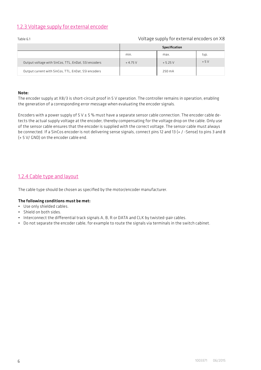# 1.2.3 Voltage supply for external encoder

|                                                      |          | Specification |       |
|------------------------------------------------------|----------|---------------|-------|
|                                                      | min.     | max.          | typ.  |
| Output voltage with SinCos, TTL, EnDat, SSI encoders | $+4.75V$ | $+5.25V$      | $+5V$ |
| Output current with SinCos, TTL, EnDat, SSI encoders |          | 250 mA        |       |

# Table 6.1 Voltage supply for external encoders on X8

### Note:

The encoder supply at X8/3 is short-circuit proof in 5 V operation. The controller remains in operation, enabling the generation of a corresponding error message when evaluating the encoder signals.

Encoders with a power supply of  $5 \vee \pm 5$ % must have a separate sensor cable connection. The encoder cable detects the actual supply voltage at the encoder, thereby compensating for the voltage drop on the cable. Only use of the sensor cable ensures that the encoder is supplied with the correct voltage. The sensor cable must always be connected. If a SinCos encoder is not delivering sense signals, connect pins 12 and 13 (+ / -Sense) to pins 3 and 8 (+ 5 V/ GND) on the encoder cable end.

# 1.2.4 Cable type and layout

The cable type should be chosen as specified by the motor/encoder manufacturer.

### The following conditions must be met:

- Use only shielded cables.
- Shield on both sides.
- Interconnect the differential track signals A, B, R or DATA and CLK by twisted-pair cables.
- Do not separate the encoder cable, for example to route the signals via terminals in the switch cabinet.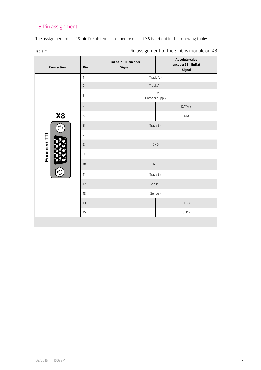# 1.3 Pin assignment

The assignment of the 15-pin D-Sub female connector on slot X8 is set out in the following table:

Table 7.1 **Table 7.1** Pin assignment of the SinCos module on X8

| Connection     | Pin            | SinCos-/TTL encoder<br>Signal | Absolute value<br>encoder SSI, EnDat<br>Signal |
|----------------|----------------|-------------------------------|------------------------------------------------|
|                | $\mathbf{1}$   | Track A -                     |                                                |
|                | $\mathsf{2}$   | Track A +                     |                                                |
|                | 3              | $+5V$<br>Encoder supply       |                                                |
|                | $\sqrt{4}$     |                               | DATA +                                         |
| X <sub>8</sub> | 5              |                               | DATA -                                         |
|                | 6              | Track B -                     |                                                |
|                | $\overline{7}$ | $\overline{\phantom{a}}$      |                                                |
| Encoder/TTL    | 8              | GND                           |                                                |
|                | 9              | $R -$                         |                                                |
|                | 10             | $R +$                         |                                                |
|                | 11             | Track B+                      |                                                |
|                | 12             | Sense +                       |                                                |
|                | 13             | Sense -                       |                                                |
|                | 14             |                               | $CLK +$                                        |
|                | 15             |                               | $CLK -$                                        |
|                |                |                               |                                                |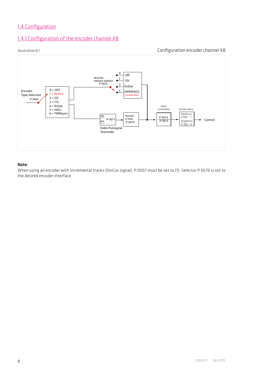# 1.4 Configuration

# 1.4.1 Configuration of the encoder channel X8

# Illustration 8.1 Configuration encoder channel X8



### Note:

When using an encoder with incremental tracks (SinCos signal), P 0507 must be set to (1). Selector P 0570 is set to the desired encoder interface.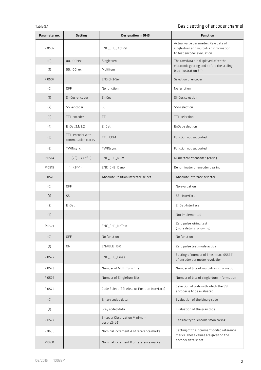# Table 9.1 **Basic setting of encoder channel**

| Parameter no. | <b>Setting</b>                          | <b>Designation in DMS</b>                           | <b>Function</b>                                                                                              |  |
|---------------|-----------------------------------------|-----------------------------------------------------|--------------------------------------------------------------------------------------------------------------|--|
| P 0502        |                                         | ENC_CH3_ActVal                                      | Actual value parameter: Raw data of<br>single-turn and multi-turn information<br>to test encoder evaluation. |  |
| (0)           | 0000hex                                 | Singleturn                                          | The raw data are displayed after the<br>electronic gearing and before the scaling<br>(see illustration 8.1). |  |
| (1)           | 0000hex                                 | Multiturn                                           |                                                                                                              |  |
| P 0507        |                                         | ENC-CH3-Sel                                         | Selection of encoder                                                                                         |  |
| (0)           | OFF                                     | No function                                         | No function                                                                                                  |  |
| (1)           | SinCos-encoder                          | SinCos                                              | SinCos selection                                                                                             |  |
| (2)           | SSI-encoder                             | SSI                                                 | SSI-selection                                                                                                |  |
| (3)           | TTL-encoder                             | <b>TTL</b>                                          | TTL-selection                                                                                                |  |
| (4)           | EnDat 2.1/2.2                           | EnDat                                               | EnDat-selection                                                                                              |  |
| (5)           | TTL- encoder with<br>commutation tracks | TTL_COM                                             | Function not supported                                                                                       |  |
| (6)           | TWINsync                                | TWINsync                                            | Function not supported                                                                                       |  |
| P 0514        | $-(2^{15})+(2^{15}-1)$                  | ENC_CH3_Num                                         | Numerator of encoder gearing                                                                                 |  |
| P 0515        | $1(2^{31}-1)$                           | ENC_CH3_Denom                                       | Denominator of encoder gearing                                                                               |  |
| P 0570        |                                         | Absolute Position Interface select                  | Absolute interface selector                                                                                  |  |
| (0)           | OFF                                     |                                                     | No evaluation                                                                                                |  |
| (1)           | SSI                                     |                                                     | SSI-Interface                                                                                                |  |
| (2)           | EnDat                                   |                                                     | EnDat-Interface                                                                                              |  |
| (3)           |                                         |                                                     | Not implemented                                                                                              |  |
| P 0571        |                                         | ENC_CH3_NpTest                                      | Zero pulse wiring test<br>(more details following)                                                           |  |
| (0)           | <b>OFF</b>                              | No function                                         | No function                                                                                                  |  |
| (1)           | 0 <sub>N</sub>                          | ENABLE_ISR                                          | Zero pulse test mode active                                                                                  |  |
| P 0572        |                                         | ENC_CH3_Lines                                       | Setting of number of lines (max. 65536)<br>of encoder per motor revolution                                   |  |
| P 0573        |                                         | Number of Multi Turn Bits                           | Number of bits of multi-turn information                                                                     |  |
| P0574         |                                         | Number of SingleTurn Bits                           | Number of bits of single-turn information                                                                    |  |
| <b>P0575</b>  |                                         | Code Select (SSI Absolut Position Interface)        | Selection of code with which the SSI<br>encoder is to be evaluated                                           |  |
| (0)           |                                         | Binary coded data                                   | Evaluation of the binary code                                                                                |  |
| (1)           |                                         | Gray coded data                                     | Evaluation of the gray code                                                                                  |  |
| P 0577        |                                         | <b>Encoder Observation Minimum</b><br>$sqrt(a2+b2)$ | Sensitivity for encoder monitoring                                                                           |  |
| P0630         |                                         | Nominal increment A of reference marks              | Setting of the increment-coded reference<br>marks. These values are given on the                             |  |
| P 0631        |                                         | Nominal increment B of reference marks              | encoder data sheet.                                                                                          |  |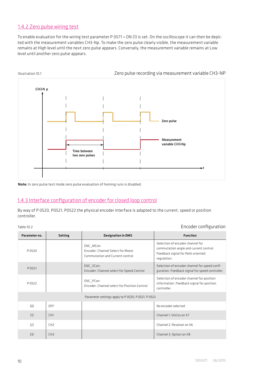# 1.4.2 Zero pulse wiring test

To enable evaluation for the wiring test parameter P 0571 = ON (1) is set. On the oscilloscope it can then be depicted with the measurement variables CH3-Np. To make the zero pulse clearly visible, the measurement variable remains at High level until the next zero pulse appears. Conversely, the measurement variable remains at Low level until another zero pulse appears.



Note: In zero pulse test mode zero pulse evaluation of homing runs is disabled.

# 1.4.3 Interface configuration of encoder for closed loop control

By way of P 0520, P0521, P0522 the physical encoder interface is adapted to the current, speed or position controller.

### Table 10.2 Encoder configuration

| Parameter no. | <b>Setting</b>  | <b>Designation in DMS</b>                                                         | <b>Function</b>                                                                                                                 |
|---------------|-----------------|-----------------------------------------------------------------------------------|---------------------------------------------------------------------------------------------------------------------------------|
| P0520         |                 | ENC MCon:<br>Encoder: Channel Select for Motor<br>Commutation and Current control | Selection of encoder channel for<br>commutation angle and current control.<br>Feedback signal for field-oriented<br>regulation. |
| P0521         |                 | ENC SCon:<br>Encoder: Channel select for Speed Control                            | Selection of encoder channel for speed confi-<br>guration. Feedback signal for speed controller.                                |
| P0522         |                 | ENC PCon:<br>Encoder: Channel select for Position Control                         | Selection of encoder channel for position<br>information. Feedback signal for position<br>controller.                           |
|               |                 | Parameter settings apply to P 0520, P 0521, P 0522                                |                                                                                                                                 |
| (0)           | OFF             |                                                                                   | No encoder selected                                                                                                             |
| (1)           | CH <sub>1</sub> |                                                                                   | Channel 1: SinCos on X7                                                                                                         |
| (2)           | CH <sub>2</sub> |                                                                                   | Channel 2: Resolver on X6                                                                                                       |
| (3)           | CH <sub>3</sub> |                                                                                   | Channel 3: Option on X8                                                                                                         |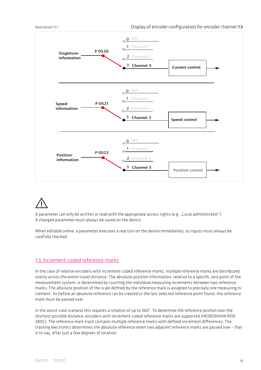

A parameter can only be written or read with the appropriate access rights (e.g. "Local administrator"). A changed parameter must always be saved on the device.

When editable online, a parameter executes a reaction on the device immediately, so inputs must always be carefully checked.

### 1.5 Increment-coded reference marks

In the case of relative encoders with increment-coded reference marks, multiple reference marks are distributed evenly across the entire travel distance. The absolute position information, relative to a specific zero point of the measurement system, is determined by counting the individual measuring increments between two reference marks. The absolute position of the scale defined by the reference mark is assigned to precisely one measuring increment. So before an absolute reference can be created or the last selected reference point found, the reference mark must be passed over.

In the worst-case scenario this requires a rotation of up to 360°. To determine the reference positon over the shortest possible distance, encoders with increment-coded reference marks are supported (HEIDENHAIN ROD 280C). The reference mark track contains multiple reference marks with defined increment differences. The tracking electronics determines the absolute reference when two adjacent reference marks are passed over - that is to say, after just a few degrees of rotation.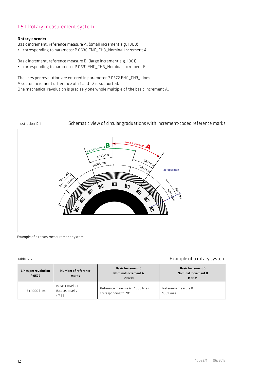## 1.5.1 Rotary measurement system

### Rotary encoder:

- Basic increment, reference measure A: (small increment e.g. 1000)
- corresponding to parameter P 0630 ENC\_CH3\_Nominal Increment A

Basic increment, reference measure B: (large increment e.g. 1001)

• corresponding to parameter P 0631 ENC\_CH3\_Nominal Increment B

The lines per revolution are entered in parameter P 0572 ENC\_CH3\_Lines. A sector increment difference of +1 and +2 is supported. One mechanical revolution is precisely one whole multiple of the basic increment A.

### Illustration 12.1 Schematic view of circular graduations with increment-coded reference marks



Example of a rotary measurement system

### Table 12.2 **Example of a rotary system**

| Lines per revolution<br>P0572 | Number of reference<br>marks                          | <b>Basic Increment G</b><br><b>Nominal Increment A</b><br>P 0630 | <b>Basic Increment G</b><br><b>Nominal Increment B</b><br>P 0631 |
|-------------------------------|-------------------------------------------------------|------------------------------------------------------------------|------------------------------------------------------------------|
| 18 x 1000 lines               | 18 basic marks +<br>18 coded marks<br>$=$ $\Sigma$ 36 | Reference measure A = 1000 lines<br>corresponding to 20°         | Reference measure B<br>1001 lines.                               |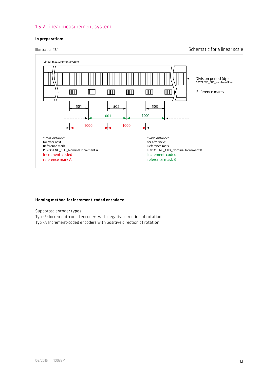### 1.5.2 Linear measurement system

### In preparation:

Illustration 13.1 Schematic for a linear scale



### Homing method for increment-coded encoders:

Supported encoder types:

- Typ -6: Increment-coded encoders with negative direction of rotation
- Typ -7: Increment-coded encoders with positive direction of rotation